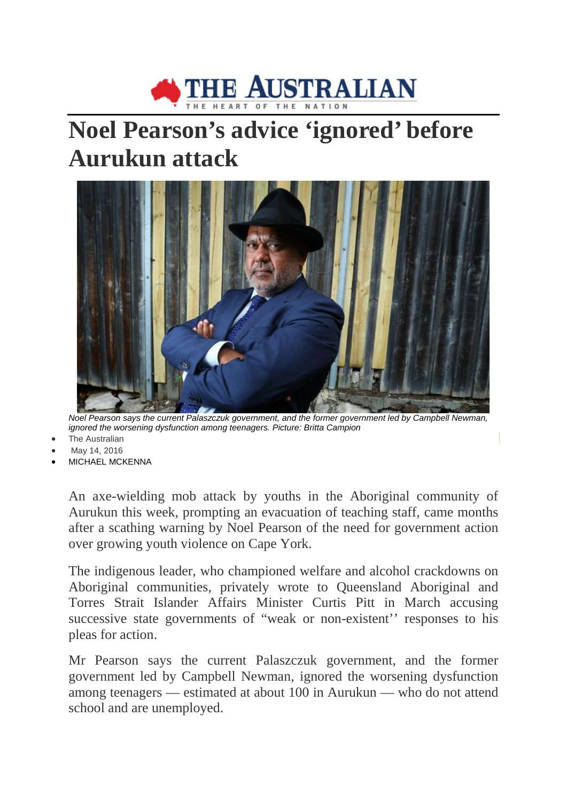

## **Noel Pearson's advice 'ignored' before Aurukun attack**



*Noel Pearson says the current Palaszczuk government, and the former government led by Campbell Newman, ignored the worsening dysfunction among teenagers. Picture: Britta Campion*

- **The Australian**
- May 14, 2016
- MICHAEL MCKENNA

An axe-wielding mob attack by youths in the Aboriginal community of Aurukun this week, prompting an evacuation of teaching staff, came months after a scathing warning by Noel Pearson of the need for government action over growing youth violence on Cape York.

The indigenous leader, who championed welfare and alcohol crackdowns on Aboriginal communities, privately wrote to Queensland Aboriginal and Torres Strait Islander Affairs Minister Curtis Pitt in March accusing successive state governments of "weak or non-existent'' responses to his pleas for action.

Mr Pearson says the current Palaszczuk government, and the former government led by Campbell Newman, ignored the worsening dysfunction among teenagers — estimated at about 100 in Aurukun — who do not attend school and are unemployed.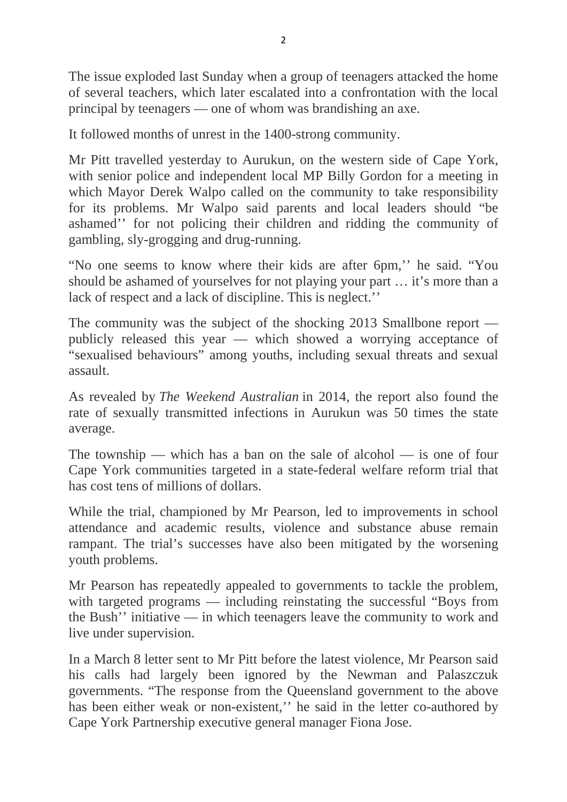The issue exploded last Sunday when a group of teenagers attacked the home of several teachers, which later escalated into a confrontation with the local principal by teenagers — one of whom was brandishing an axe.

It followed months of unrest in the 1400-strong community.

Mr Pitt travelled yesterday to Aurukun, on the western side of Cape York, with senior police and independent local MP Billy Gordon for a meeting in which Mayor Derek Walpo called on the community to take responsibility for its problems. Mr Walpo said parents and local leaders should "be ashamed'' for not policing their children and ridding the community of gambling, sly-grogging and drug-running.

"No one seems to know where their kids are after 6pm,'' he said. "You should be ashamed of yourselves for not playing your part … it's more than a lack of respect and a lack of discipline. This is neglect.''

The community was the subject of the shocking 2013 Smallbone report publicly released this year — which showed a worrying acceptance of "sexualised behaviours" among youths, including sexual threats and sexual assault.

As revealed by *The Weekend Australian* in 2014, the report also found the rate of sexually transmitted infections in Aurukun was 50 times the state average.

The township — which has a ban on the sale of alcohol — is one of four Cape York communities targeted in a state-federal welfare reform trial that has cost tens of millions of dollars.

While the trial, championed by Mr Pearson, led to improvements in school attendance and academic results, violence and substance abuse remain rampant. The trial's successes have also been mitigated by the worsening youth problems.

Mr Pearson has repeatedly appealed to governments to tackle the problem, with targeted programs — including reinstating the successful "Boys from the Bush'' initiative — in which teenagers leave the community to work and live under supervision.

In a March 8 letter sent to Mr Pitt before the latest violence, Mr Pearson said his calls had largely been ignored by the Newman and Palaszczuk governments. "The response from the Queensland government to the above has been either weak or non-existent,'' he said in the letter co-authored by Cape York Partnership executive general manager Fiona Jose.